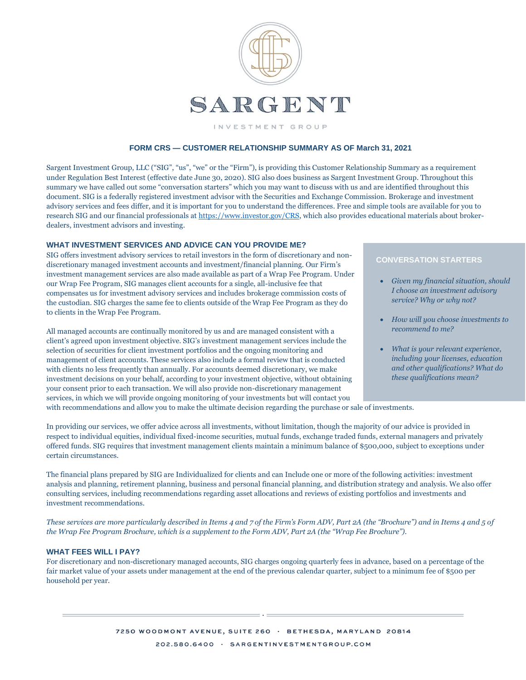

INVESTMENT GROUP

# **FORM CRS — CUSTOMER RELATIONSHIP SUMMARY AS OF March 31, 2021**

Sargent Investment Group, LLC ("SIG", "us", "we" or the "Firm"), is providing this Customer Relationship Summary as a requirement under Regulation Best Interest (effective date June 30, 2020). SIG also does business as Sargent Investment Group. Throughout this summary we have called out some "conversation starters" which you may want to discuss with us and are identified throughout this document. SIG is a federally registered investment advisor with the Securities and Exchange Commission. Brokerage and investment advisory services and fees differ, and it is important for you to understand the differences. Free and simple tools are available for you to research SIG and our financial professionals a[t https://www.investor.gov/CRS,](https://www.investor.gov/CRS) which also provides educational materials about brokerdealers, investment advisors and investing.

#### **WHAT INVESTMENT SERVICES AND ADVICE CAN YOU PROVIDE ME?**

SIG offers investment advisory services to retail investors in the form of discretionary and nondiscretionary managed investment accounts and investment/financial planning. Our Firm's investment management services are also made available as part of a Wrap Fee Program. Under our Wrap Fee Program, SIG manages client accounts for a single, all-inclusive fee that compensates us for investment advisory services and includes brokerage commission costs of the custodian. SIG charges the same fee to clients outside of the Wrap Fee Program as they do to clients in the Wrap Fee Program.

All managed accounts are continually monitored by us and are managed consistent with a client's agreed upon investment objective. SIG's investment management services include the selection of securities for client investment portfolios and the ongoing monitoring and management of client accounts. These services also include a formal review that is conducted with clients no less frequently than annually. For accounts deemed discretionary, we make investment decisions on your behalf, according to your investment objective, without obtaining your consent prior to each transaction. We will also provide non-discretionary management services, in which we will provide ongoing monitoring of your investments but will contact you

# **CONVERSATION STARTERS**

- *Given my financial situation, should I choose an investment advisory service? Why or why not?*
- *How will you choose investments to recommend to me?*
- *What is your relevant experience, including your licenses, education and other qualifications? What do these qualifications mean?*

with recommendations and allow you to make the ultimate decision regarding the purchase or sale of investments.

In providing our services, we offer advice across all investments, without limitation, though the majority of our advice is provided in respect to individual equities, individual fixed-income securities, mutual funds, exchange traded funds, external managers and privately offered funds. SIG requires that investment management clients maintain a minimum balance of \$500,000, subject to exceptions under certain circumstances.

The financial plans prepared by SIG are Individualized for clients and can Include one or more of the following activities: investment analysis and planning, retirement planning, business and personal financial planning, and distribution strategy and analysis. We also offer consulting services, including recommendations regarding asset allocations and reviews of existing portfolios and investments and investment recommendations.

*These services are more particularly described in Items 4 and 7 of the Firm's Form ADV, Part 2A (the "Brochure") and in Items 4 and 5 of the Wrap Fee Program Brochure, which is a supplement to the Form ADV, Part 2A (the "Wrap Fee Brochure").* 

## **WHAT FEES WILL I PAY?**

For discretionary and non-discretionary managed accounts, SIG charges ongoing quarterly fees in advance, based on a percentage of the fair market value of your assets under management at the end of the previous calendar quarter, subject to a minimum fee of \$500 per household per year.